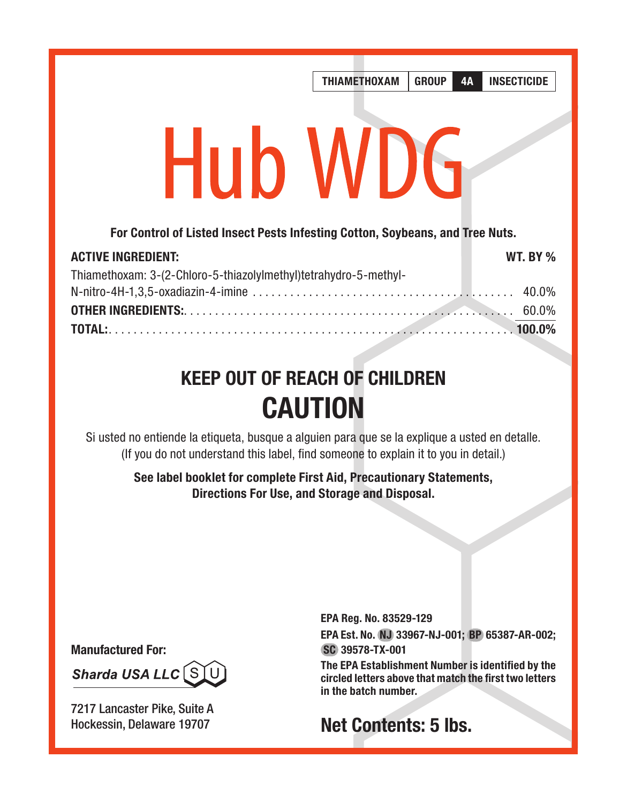# THIAMETHOXAM GROUP 4A INSECTICIDE **Hub WDG** For Control of Listed Insect Pests Infesting Cotton, Soybeans, and Tree Nuts.

| <b>ACTIVE INGREDIENT:</b>                                        | <b>WT. BY %</b> |
|------------------------------------------------------------------|-----------------|
| Thiamethoxam: 3-(2-Chloro-5-thiazolylmethyl)tetrahydro-5-methyl- |                 |
|                                                                  |                 |
|                                                                  |                 |
|                                                                  |                 |

# KEEP OUT OF REACH OF CHILDREN CAUTION

Si usted no entiende la etiqueta, busque a alguien para que se la explique a usted en detalle. (If you do not understand this label, find someone to explain it to you in detail.)

> See label booklet for complete First Aid, Precautionary Statements, Directions For Use, and Storage and Disposal.

Manufactured For:

Sharda USA LLC SL

7217 Lancaster Pike, Suite A Hockessin, Delaware 19707

EPA Reg. No. 83529-129

EPA Est. No. NJ 33967-NJ-001; BP 65387-AR-002; SC 39578-TX-001

The EPA Establishment Number is identified by the circled letters above that match the first two letters in the batch number.

# Net Contents: 5 lbs.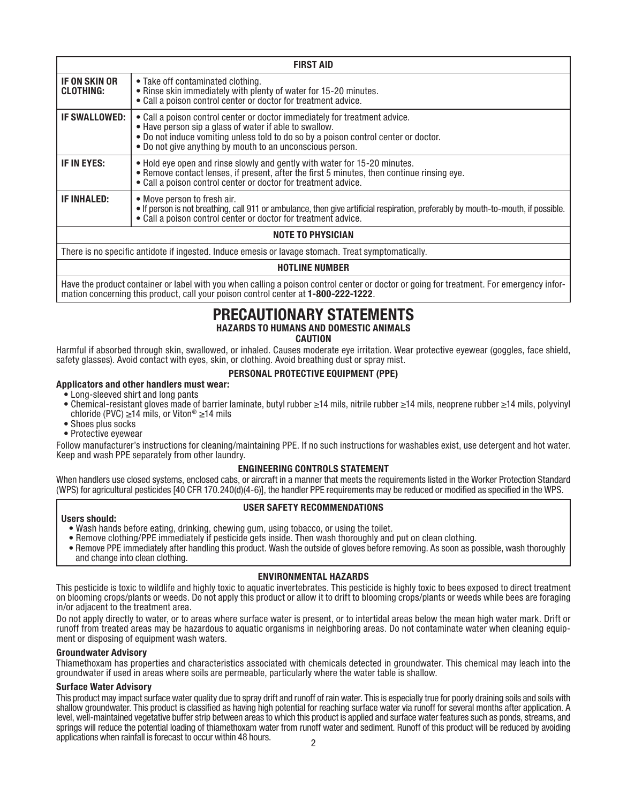| <b>FIRST AID</b>                                                                                   |                                                                                                                                                                                                                                                                                          |  |  |  |
|----------------------------------------------------------------------------------------------------|------------------------------------------------------------------------------------------------------------------------------------------------------------------------------------------------------------------------------------------------------------------------------------------|--|--|--|
| IF ON SKIN OR<br><b>CLOTHING:</b>                                                                  | • Take off contaminated clothing.<br>• Rinse skin immediately with plenty of water for 15-20 minutes.<br>. Call a poison control center or doctor for treatment advice.                                                                                                                  |  |  |  |
| IF SWALLOWED:                                                                                      | . Call a poison control center or doctor immediately for treatment advice.<br>• Have person sip a glass of water if able to swallow.<br>• Do not induce vomiting unless told to do so by a poison control center or doctor.<br>. Do not give anything by mouth to an unconscious person. |  |  |  |
| IF IN EYES:                                                                                        | . Hold eye open and rinse slowly and gently with water for 15-20 minutes.<br>• Remove contact lenses, if present, after the first 5 minutes, then continue rinsing eve.<br>• Call a poison control center or doctor for treatment advice.                                                |  |  |  |
| IF INHALED:                                                                                        | • Move person to fresh air.<br>• If person is not breathing, call 911 or ambulance, then give artificial respiration, preferably by mouth-to-mouth, if possible.<br>• Call a poison control center or doctor for treatment advice.                                                       |  |  |  |
| <b>NOTE TO PHYSICIAN</b>                                                                           |                                                                                                                                                                                                                                                                                          |  |  |  |
| There is no specific antidote if ingested. Induce emesis or lavage stomach. Treat symptomatically. |                                                                                                                                                                                                                                                                                          |  |  |  |

#### HOTLINE NUMBER

Have the product container or label with you when calling a poison control center or doctor or going for treatment. For emergency information concerning this product, call your poison control center at 1-800-222-1222.

# PRECAUTIONARY STATEMENTS

#### HAZARDS TO HUMANS AND DOMESTIC ANIMALS

#### CAUTION

Harmful if absorbed through skin, swallowed, or inhaled. Causes moderate eye irritation. Wear protective eyewear (goggles, face shield, safety glasses). Avoid contact with eyes, skin, or clothing. Avoid breathing dust or spray mist.

#### PERSONAL PROTECTIVE EQUIPMENT (PPE)

### Applicators and other handlers must wear:

- Long-sleeved shirt and long pants
- Chemical-resistant gloves made of barrier laminate, butyl rubber ≥14 mils, nitrile rubber ≥14 mils, neoprene rubber ≥14 mils, polyvinyl chloride (PVC) ≥14 mils, or Viton® ≥14 mils
- Shoes plus socks
- Protective eyewear

Follow manufacturer's instructions for cleaning/maintaining PPE. If no such instructions for washables exist, use detergent and hot water. Keep and wash PPE separately from other laundry.

#### ENGINEERING CONTROLS STATEMENT

When handlers use closed systems, enclosed cabs, or aircraft in a manner that meets the requirements listed in the Worker Protection Standard (WPS) for agricultural pesticides [40 CFR 170.240(d)(4-6)], the handler PPE requirements may be reduced or modified as specified in the WPS.

#### USER SAFETY RECOMMENDATIONS

Users should:<br>• Wash hands before eating, drinking, chewing gum, using tobacco, or using the toilet.

- 
- Remove clothing/PPE immediately if pesticide gets inside. Then wash thoroughly and put on clean clothing.<br>● Remove PPE immediately after handling this product. Wash the outside of gloves before removing. As soon as poss and change into clean clothing.

#### ENVIRONMENTAL HAZARDS

This pesticide is toxic to wildlife and highly toxic to aquatic invertebrates. This pesticide is highly toxic to bees exposed to direct treatment on blooming crops/plants or weeds. Do not apply this product or allow it to drift to blooming crops/plants or weeds while bees are foraging in/or adjacent to the treatment area.<br>Do not apply directly to water, or to areas where surface water is present, or to intertidal areas below the mean high water mark. Drift or

runoff from treated areas may be hazardous to aquatic organisms in neighboring areas. Do not contaminate water when cleaning equip-<br>ment or disposing of equipment wash waters.

#### Groundwater Advisory

Thiamethoxam has properties and characteristics associated with chemicals detected in groundwater. This chemical may leach into the groundwater if used in areas where soils are permeable, particularly where the water table is shallow.

#### Surface Water Advisory

 $\overline{2}$ This product may impact surface water quality due to spray drift and runoff of rain water. This is especially true for poorly draining soils and soils with shallow groundwater. This product is classified as having high potential for reaching surface water via runoff for several months after application. A level, well-maintained vegetative buffer strip between areas to which this product is applied and surface water features such as ponds, streams, and springs will reduce the potential loading of thiamethoxam water from runoff water and sediment. Runoff of this product will be reduced by avoiding applications when rainfall is forecast to occur within 48 hours.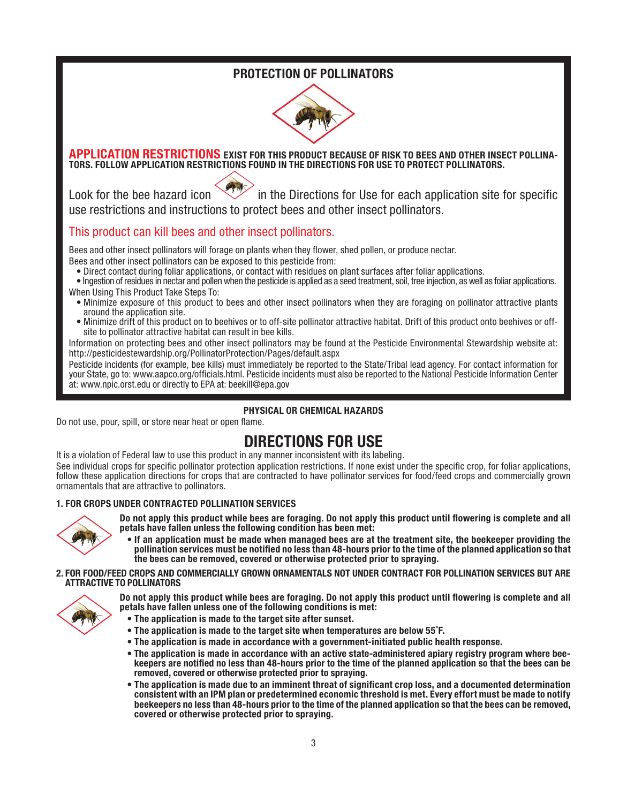## PROTECTION OF POLLINATORS



#### APPLICATION RESTRICTIONS EXIST FOR THIS PRODUCT BECAUSE OF RISK TO BEES AND OTHER INSECT POLLINA-TORS. FOLLOW APPLICATION RESTRICTIONS FOUND IN THE DIRECTIONS FOR USE TO PROTECT POLLINATORS.

Look for the bee hazard icon  $\sqrt{N}$  in the Directions for Use for each application site for specific use restrictions and instructions to protect bees and other insect pollinators.

## This product can kill bees and other insect pollinators.

Bees and other insect pollinators will forage on plants when they flower, shed pollen, or produce nectar.

- Bees and other insect pollinators can be exposed to this pesticide from:<br>• Direct contact during foliar applications, or contact with residues on plant surfaces after foliar applications.
- . In logistion of residues in nectar and pollen when the pesticide is applied as a seed treatment, soil, tree injection, as well as foliar applications.

When Using This Product Take Steps To:

- Minimize exposure of this product to bees and other insect pollinators when they are foraging on pollinator attractive plants around the application site.
- Minimize drift of this product on to beehives or to off-site pollinator attractive habitat. Drift of this product onto beehives or offsite to pollinator attractive habitat can result in bee kills.

Information on protecting bees and other insect pollinators may be found at the Pesticide Environmental Stewardship website at: http://pesticidestewardship.org/PollinatorProtection/Pages/default.aspx

Pesticide incidents (for example, bee kills) must immediately be reported to the State/Tribal lead agency. For contact information for your State, go to: www.aapco.org/officials.html. Pesticide incidents must also be reported to the National Pesticide Information Center at: www.npic.orst.edu or directly to EPA at: beekill@epa.gov

### PHYSICAL OR CHEMICAL HAZARDS

Do not use, pour, spill, or store near heat or open flame.

# DIRECTIONS FOR USE

It is a violation of Federal law to use this product in any manner inconsistent with its labeling.

See individual crops for specific pollinator protection application restrictions. If none exist under the specific crop, for foliar applications, follow these application directions for crops that are contracted to have pollinator services for food/feed crops and commercially grown ornamentals that are attractive to pollinators.

#### 1. FOR CROPS UNDER CONTRACTED POLLINATION SERVICES



Do not apply this product while bees are foraging. Do not apply this product until flowering is complete and all petals have fallen unless the following condition has been met:

• If an application must be made when managed bees are at the treatment site, the beekeeper providing the pollination services must be notified no less than 48-hours prior to the time of the planned application so that the bees can be removed, covered or otherwise protected prior to spraying.

#### 2. FOR FOOD/FEED CROPS AND COMMERCIALLY GROWN ORNAMENTALS NOT UNDER CONTRACT FOR POLLINATION SERVICES BUT ARE ATTRACTIVE TO POLLINATORS



Do not apply this product while bees are foraging. Do not apply this product until flowering is complete and all petals have fallen unless one of the following conditions is met:

- The application is made to the target site after sunset.
- The application is made to the target site when temperatures are below 55˚F.
- The application is made in accordance with a government-initiated public health response.
- The application is made in accordance with an active state-administered apiary registry program where bee- keepers are notified no less than 48-hours prior to the time of the planned application so that the bees can be removed, covered or otherwise protected prior to spraying.
- The application is made due to an imminent threat of significant crop loss, and a documented determination consistent with an IPM plan or predetermined economic threshold is met. Every effort must be made to notify beekeepers no less than 48-hours prior to the time of the planned application so that the bees can be removed, covered or otherwise protected prior to spraying.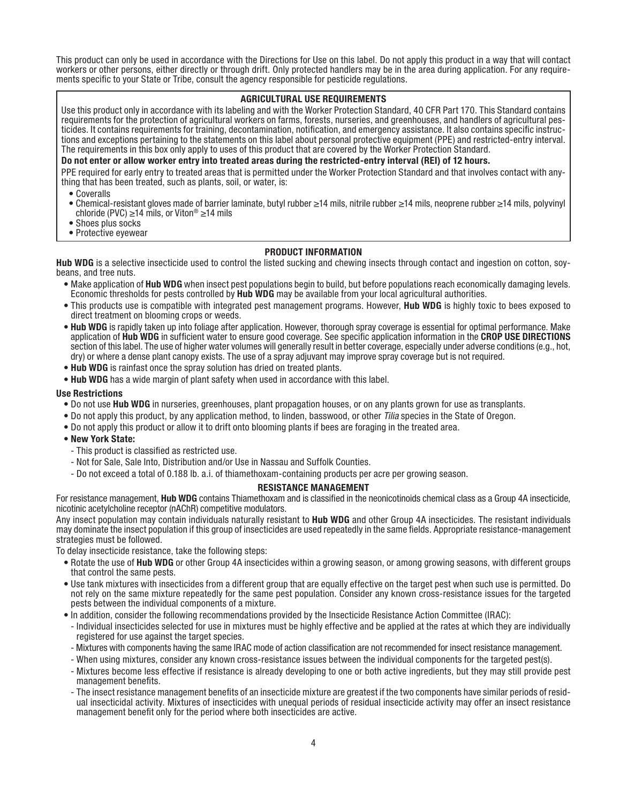This product can only be used in accordance with the Directions for Use on this label. Do not apply this product in a way that will contact workers or other persons, either directly or through drift. Only protected handlers may be in the area during application. For any requirements specific to your State or Tribe, consult the agency responsible for pesticide regulations.

#### AGRICULTURAL USE REQUIREMENTS

Use this product only in accordance with its labeling and with the Worker Protection Standard, 40 CFR Part 170. This Standard contains requirements for the protection of agricultural workers on farms, forests, nurseries, and greenhouses, and handlers of agricultural pesticides. It contains requirements for training, decontamination, notification, and emergency assistance. It also contains specific instructions and exceptions pertaining to the statements on this label about personal protective equipment (PPE) and restricted-entry interval. The requirements in this box only apply to uses of this product that are covered by the Worker Protection Standard.

#### Do not enter or allow worker entry into treated areas during the restricted-entry interval (REI) of 12 hours.

PPE required for early entry to treated areas that is permitted under the Worker Protection Standard and that involves contact with anything that has been treated, such as plants, soil, or water, is:

- Coveralls
- Chemical-resistant gloves made of barrier laminate, butyl rubber ≥14 mils, nitrile rubber ≥14 mils, neoprene rubber ≥14 mils, polyvinyl chloride (PVC) ≥14 mils, or Viton® ≥14 mils
- Shoes plus socks
- Protective eyewear

#### PRODUCT INFORMATION

Hub WDG is a selective insecticide used to control the listed sucking and chewing insects through contact and ingestion on cotton, soybeans, and tree nuts.

- Make application of **Hub WDG** when insect pest populations begin to build, but before populations reach economically damaging levels. Economic thresholds for pests controlled by Hub WDG may be available from your local agricultural authorities.
- This products use is compatible with integrated pest management programs. However, Hub WDG is highly toxic to bees exposed to direct treatment on blooming crops or weeds.
- Hub WDG is rapidly taken up into foliage after application. However, thorough spray coverage is essential for optimal performance. Make<br>application of Hub WDG in sufficient water to ensure good coverage. See specific app dry) or where a dense plant canopy exists. The use of a spray adjuvant may improve spray coverage but is not required.
- Hub WDG is rainfast once the spray solution has dried on treated plants.
- Hub WDG has a wide margin of plant safety when used in accordance with this label.

#### Use Restrictions

- Do not use Hub WDG in nurseries, greenhouses, plant propagation houses, or on any plants grown for use as transplants.
- Do not apply this product, by any application method, to linden, basswood, or other *Tilia* species in the State of Oregon.
- Do not apply this product or allow it to drift onto blooming plants if bees are foraging in the treated area.
- New York State:
	- This product is classified as restricted use.
	- Not for Sale, Sale Into, Distribution and/or Use in Nassau and Suffolk Counties.
	- Do not exceed a total of 0.188 lb. a.i. of thiamethoxam-containing products per acre per growing season.

#### RESISTANCE MANAGEMENT

For resistance management. Hub WDG contains Thiamethoxam and is classified in the neonicotinoids chemical class as a Group 4A insecticide. nicotinic acetylcholine receptor (nAChR) competitive modulators.

Any insect population may contain individuals naturally resistant to Hub WDG and other Group 4A insecticides. The resistant individuals may dominate the insect population if this group of insecticides are used repeatedly in the same fields. Appropriate resistance-management strategies must be followed.

To delay insecticide resistance, take the following steps:

- Rotate the use of Hub WDG or other Group 4A insecticides within a growing season, or among growing seasons, with different groups that control the same pests.
- Use tank mixtures with insecticides from a different group that are equally effective on the target pest when such use is permitted. Do not rely on the same mixture repeatedly for the same pest population. Consider any k pests between the individual components of a mixture.
- In addition, consider the following recommendations provided by the Insecticide Resistance Action Committee (IRAC):
- Individual insecticides selected for use in mixtures must be highly effective and be applied at the rates at which they are individually registered for use against the target species.
- Mixtures with components having the same IRAC mode of action classification are not recommended for insect resistance management.
- When using mixtures, consider any known cross-resistance issues between the individual components for the targeted pest(s).
- Mixtures become less effective if resistance is already developing to one or both active ingredients, but they may still provide pest management benefits.
- The insect resistance management benefits of an insecticide mixture are greatest if the two components have similar periods of residual insecticidal activity. Mixtures of insecticides with unequal periods of residual insecticide activity may offer an insect resistance management benefit only for the period where both insecticides are active.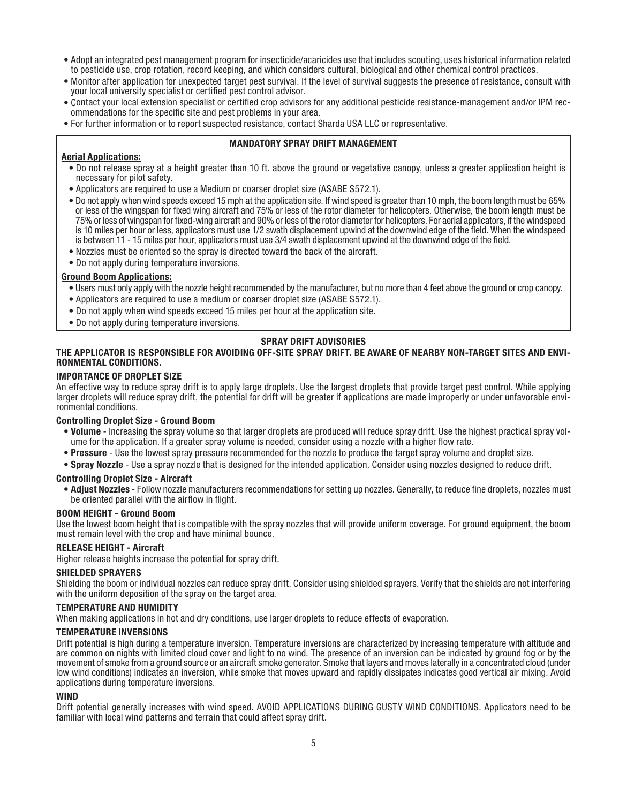- Adopt an integrated pest management program for insecticide/acaricides use that includes scouting, uses historical information related to pesticide use, crop rotation, record keeping, and which considers cultural, biological and other chemical control practices.
- Monitor after application for unexpected target pest survival. If the level of survival suggests the presence of resistance, consult with your local university specialist or certified pest control advisor.
- Contact your local extension specialist or certified crop advisors for any additional pesticide resistance-management and/or IPM recommendations for the specific site and pest problems in your area.
- For further information or to report suspected resistance, contact Sharda USA LLC or representative.

#### MANDATORY SPRAY DRIFT MANAGEMENT

#### Aerial Applications:

- Do not release spray at a height greater than 10 ft. above the ground or vegetative canopy, unless a greater application height is necessary for pilot safety.
- Applicators are required to use a Medium or coarser droplet size (ASABE S572.1).
- Do not apply when wind speeds exceed 15 mph at the application site. If wind speed is greater than 10 mph, the boom length must be 65% or less of the wingspan for fixed wing aircraft and 75% or less of the rotor diameter for helicopters. Otherwise, the boom length must be 75% or less of wingspan for fixed-wing aircraft and 90% or less of the rotor diameter for helicopters. For aerial applicators, if the windspeed is 10 miles per hour or less, applicators must use 1/2 swath displacement upwind at the downwind edge of the field. When the windspeed is between 11 - 15 miles per hour, applicators must use 3/4 swath displacement upwind at the downwind edge of the field.
- Nozzles must be oriented so the spray is directed toward the back of the aircraft.
- Do not apply during temperature inversions.

#### Ground Boom Applications:

- Users must only apply with the nozzle height recommended by the manufacturer, but no more than 4 feet above the ground or crop canopy.
- Applicators are required to use a medium or coarser droplet size (ASABE S572.1).
- Do not apply when wind speeds exceed 15 miles per hour at the application site.
- Do not apply during temperature inversions.

#### SPRAY DRIFT ADVISORIES

#### THE APPLICATOR IS RESPONSIBLE FOR AVOIDING OFF-SITE SPRAY DRIFT. BE AWARE OF NEARBY NON-TARGET SITES AND ENVI-RONMENTAL CONDITIONS.

#### IMPORTANCE OF DROPLET SIZE

An effective way to reduce spray drift is to apply large droplets. Use the largest droplets that provide target pest control. While applying larger droplets will reduce spray drift, the potential for drift will be greater if applications are made improperly or under unfavorable envi-<br>ronmental conditions.

#### Controlling Droplet Size - Ground Boom

- . Volume Increasing the spray volume so that larger droplets are produced will reduce spray drift. Use the highest practical spray vol-<br>ume for the application. If a greater spray volume is needed, consider using a nozzl
- Pressure Use the lowest spray pressure recommended for the nozzle to produce the target spray volume and droplet size.
- Spray Nozzle Use a spray nozzle that is designed for the intended application. Consider using nozzles designed to reduce drift.

#### Controlling Droplet Size - Aircraft

• Adjust Nozzles - Follow nozzle manufacturers recommendations for setting up nozzles. Generally, to reduce fine droplets, nozzles must be oriented parallel with the airflow in flight.

#### BOOM HEIGHT - Ground Boom

Use the lowest boom height that is compatible with the spray nozzles that will provide uniform coverage. For ground equipment, the boom must remain level with the crop and have minimal bounce.

#### RELEASE HEIGHT - Aircraft

Higher release heights increase the potential for spray drift.

#### SHIELDED SPRAYERS

Shielding the boom or individual nozzles can reduce spray drift. Consider using shielded sprayers. Verify that the shields are not interfering with the uniform deposition of the spray on the target area.

#### TEMPERATURE AND HUMIDITY

When making applications in hot and dry conditions, use larger droplets to reduce effects of evaporation.

#### TEMPERATURE INVERSIONS

Drift potential is high during a temperature inversion. Temperature inversions are characterized by increasing temperature with altitude and are common on nights with limited cloud cover and light to no wind. The presence of an inversion can be indicated by ground fog or by the movement of smoke from a ground source or an aircraft smoke generator. Smoke that layers and moves laterally in a concentrated cloud (under low wind conditions) indicates an inversion, while smoke that moves upward and rapidly dissipates indicates good vertical air mixing. Avoid applications during temperature inversions.

#### WIND

Drift potential generally increases with wind speed. AVOID APPLICATIONS DURING GUSTY WIND CONDITIONS. Applicators need to be familiar with local wind patterns and terrain that could affect spray drift.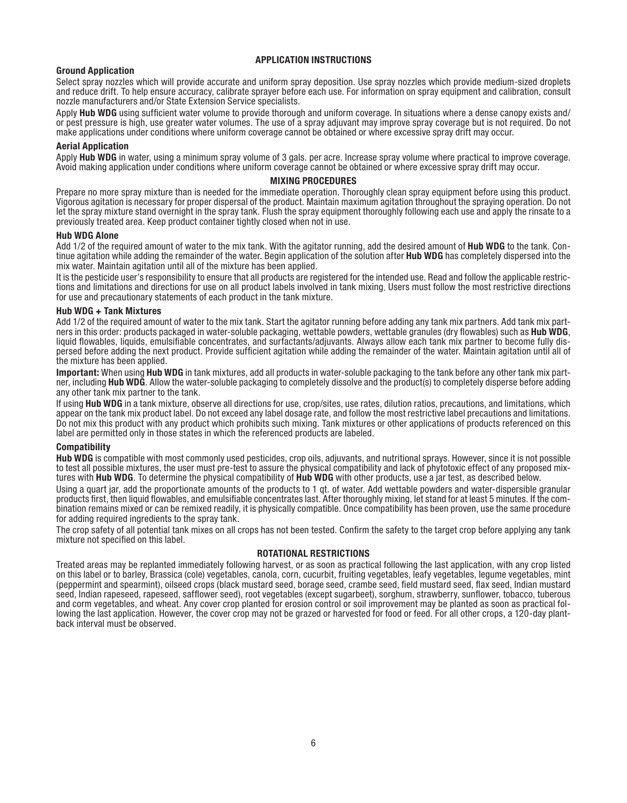#### APPLICATION INSTRUCTIONS

Ground Application<br>Select spray nozzles which will provide accurate and uniform spray deposition. Use spray nozzles which provide medium-sized droplets and reduce drift. To help ensure accuracy, calibrate sprayer before each use. For information on spray equipment and calibration, consult nozzle manufacturers and/or State Extension Service specialists.

Apply **Hub WDG** using sufficient water volume to provide thorough and uniform coverage. In situations where a dense canopy exists and/<br>or pest pressure is high, use greater water volumes. The use of a spray adiuvant may im make applications under conditions where uniform coverage cannot be obtained or where excessive spray drift may occur.

Aerial Application<br>Apply Hub WDG in water, using a minimum spray volume of 3 gals, per acre. Increase spray volume where practical to improve coverage. Avoid making application under conditions where uniform coverage cannot be obtained or where excessive spray drift may occur.

#### MIXING PROCEDURES

Prepare no more spray mixture than is needed for the immediate operation. Thoroughly clean spray equipment before using this product.<br>Vigorous agitation is necessary for proper dispersal of the product. Maintain maximum ag let the spray mixture stand overnight in the spray tank. Flush the spray equipment thoroughly following each use and apply the rinsate to a previously treated area. Keep product container tightly closed when not in use.

#### Hub WDG Alone

Add 1/2 of the required amount of water to the mix tank. With the agitator running, add the desired amount of **Hub WDG** to the tank. Continue agitation while adding the remainder of the water. Begin application of the solution after Hub WDG has completely dispersed into the mix water. Maintain agitation until all of the mixture has been applied.<br>It is the pesticide user's responsibility to ensure that all products are registered for the intended use. Read and follow the applicable restric-

tions and limitations and directions for use on all product labels involved in tank mixing. Users must follow the most restrictive directions for use and product labels involved in tank mixing. Users must follow the most r

#### Hub WDG + Tank Mixtures

Add 1/2 of the required amount of water to the mix tank. Start the agitator running before adding any tank mix partners. Add tank mix partners in this order: products packaged in water-soluble packaging, wettable powders, wettable granules (dry flowables) such as **Hub WDG**. liquid flowables, liquids, emulsifiable concentrates, and surfactants/adjuvants. Always allow each tank mix partner to become fully dispersed before adding the next product. Provide sufficient agitation while adding the remainder of the water. Maintain agitation until all of the mixture has been applied.<br>Important: When using Hub WDG in tank mixtures, add all products in water-soluble packaging to the tank before any other tank mix part-

ner, including Hub WDG. Allow the water-soluble packaging to completely dissolve and the product(s) to completely disperse before adding any other tank mix partner to the tank.

If using Hub WDG in a tank mixture, observe all directions for use, crop/sites, use rates, dilution ratios, precautions, and limitations, which appear on the tank mix product label. Do not exceed any label dosage rate, and follow the most restrictive label precautions and limitations. Do not mix this product with any product which prohibits such mixing. Tank mixtures or other applications of products referenced on this label are permitted only in those states in which the referenced products are labeled.

#### **Compatibility**

Hub WDG is compatible with most commonly used pesticides, crop oils, adjuvants, and nutritional sprays. However, since it is not possible to test all possible mixtures, the user must pre-test to assure the physical compatibility and lack of phytotoxic effect of any proposed mixtures with Hub WDG. To determine the physical compatibility of Hub WDG with other products, use a jar test, as described below.

Using a quart jar, add the proportionate amounts of the products to 1 qt. of water. Add wettable powders and water-dispersible granular<br>products first, then liquid flowables, and emulsifiable concentrates last. After thoro bination remains mixed or can be remixed readily, it is physically compatible. Once compatibility has been proven, use the same procedure for adding required ingredients to the spray tank.

The crop safety of all potential tank mixes on all crops has not been tested. Confirm the safety to the target crop before applying any tank mixture not specified on this label.

#### ROTATIONAL RESTRICTIONS

Treated areas may be replanted immediately following harvest, or as soon as practical following the last application, with any crop listed on this label or to barley, Brassica (cole) vegetables, canola, corn, cucurbit, fruiting vegetables, leafy vegetables, legume vegetables, mint (peppermint and spearmint), oilseed crops (black mustard seed, borage seed, crambe seed, field mustard seed, flax seed, Indian mustard seed, Indian rapeseed, rapeseed, safflower seed), root vegetables (except sugarbeet), sorghum, strawberry, sunflower, tobacco, tuberous<br>and corm vegetables, and wheat. Any cover crop planted for erosion control or soil imp lowing the last application. However, the cover crop may not be grazed or harvested for food or feed. For all other crops, a 120-day plant-<br>back interval must be observed.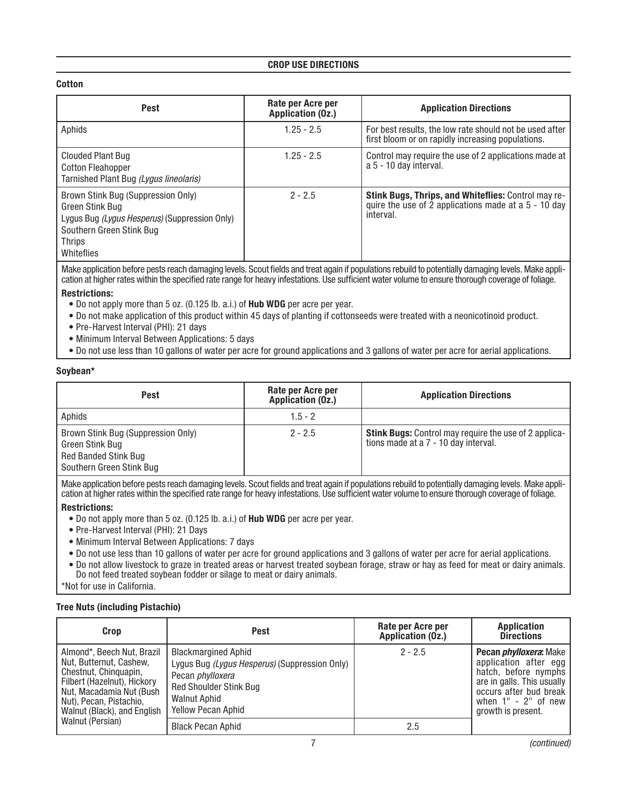#### CROP USE DIRECTIONS

#### Cotton

| Pest                                                                                                                                                              | Rate per Acre per<br>Application (Oz.) | <b>Application Directions</b>                                                                                              |
|-------------------------------------------------------------------------------------------------------------------------------------------------------------------|----------------------------------------|----------------------------------------------------------------------------------------------------------------------------|
| Aphids                                                                                                                                                            | $1.25 - 2.5$                           | For best results, the low rate should not be used after<br>first bloom or on rapidly increasing populations.               |
| Clouded Plant Bug<br><b>Cotton Fleahopper</b><br>Tarnished Plant Bug (Lygus lineolaris)                                                                           | $1.25 - 2.5$                           | Control may require the use of 2 applications made at  <br>a 5 - 10 day interval.                                          |
| Brown Stink Bug (Suppression Only)<br>Green Stink Bug<br>Lygus Bug (Lygus Hesperus) (Suppression Only)<br>Southern Green Stink Bug<br><b>Thrips</b><br>Whiteflies | $2 - 2.5$                              | Stink Bugs, Thrips, and Whiteflies: Control may re-<br>quire the use of 2 applications made at a $5 - 10$ day<br>interval. |

Make application before pests reach damaging levels. Scout fields and treat again if populations rebuild to potentially damaging levels. Make application at higher rates within the specified rate range for heavy infestations. Use sufficient water volume to ensure thorough coverage of foliage.

#### Restrictions:

- Do not apply more than 5 oz. (0.125 lb. a.i.) of Hub WDG per acre per year.
- Do not make application of this product within 45 days of planting if cottonseeds were treated with a neonicotinoid product.
- Pre-Harvest Interval (PHI): 21 days
- Minimum Interval Between Applications: 5 days
- Do not use less than 10 gallons of water per acre for ground applications and 3 gallons of water per acre for aerial applications.

#### Soybean\*

| Pest                                                                                                             | Rate per Acre per<br>Application (Oz.) | <b>Application Directions</b>                                                                        |
|------------------------------------------------------------------------------------------------------------------|----------------------------------------|------------------------------------------------------------------------------------------------------|
| Aphids                                                                                                           | $1.5 - 2$                              |                                                                                                      |
| Brown Stink Bug (Suppression Only)<br>Green Stink Bug<br><b>Red Banded Stink Bug</b><br>Southern Green Stink Bug | $2 - 2.5$                              | <b>Stink Bugs:</b> Control may require the use of 2 applica-<br>tions made at a 7 - 10 day interval. |

Make application before pests reach damaging levels. Scout fields and treat again if populations rebuild to potentially damaging levels. Make application at higher rates within the specified rate range for heavy infestations. Use sufficient water volume to ensure thorough coverage of foliage.

#### Restrictions:

- Do not apply more than 5 oz. (0.125 lb. a.i.) of Hub WDG per acre per year.
- Pre-Harvest Interval (PHI): 21 Days
- Minimum Interval Between Applications: 7 days
- Do not use less than 10 gallons of water per acre for ground applications and 3 gallons of water per acre for aerial applications.
- Do not allow livestock to graze in treated areas or harvest treated soybean forage, straw or hay as feed for meat or dairy animals. Do not feed treated soybean fodder or silage to meat or dairy animals.

\*Not for use in California.

### Tree Nuts (including Pistachio)

| Crop                                                                                                                                                                                                 | Pest                                                                                                                                                                                        | Rate per Acre per<br>Application (Oz.) | Application<br><b>Directions</b>                                                                                                                                                       |
|------------------------------------------------------------------------------------------------------------------------------------------------------------------------------------------------------|---------------------------------------------------------------------------------------------------------------------------------------------------------------------------------------------|----------------------------------------|----------------------------------------------------------------------------------------------------------------------------------------------------------------------------------------|
| Almond*, Beech Nut, Brazil<br>Nut. Butternut. Cashew.<br>Chestnut, Chinguapin.<br>Filbert (Hazelnut), Hickory<br>Nut. Macadamia Nut (Bush)<br>Nut), Pecan, Pistachio.<br>Walnut (Black), and English | <b>Blackmargined Aphid</b><br>Lygus Bug (Lygus Hesperus) (Suppression Only)<br>Pecan <i>phylloxera</i><br><b>Red Shoulder Stink Bug</b><br><b>Walnut Aphid</b><br><b>Yellow Pecan Aphid</b> | $2 - 2.5$                              | Pecan <i>phylloxera</i> : Make<br>application after egg<br>hatch, before nymphs<br>are in galls. This usually<br>occurs after bud break<br>when $1" - 2"$ of new<br>arowth is present. |
| Walnut (Persian)                                                                                                                                                                                     | <b>Black Pecan Aphid</b>                                                                                                                                                                    | 2.5                                    |                                                                                                                                                                                        |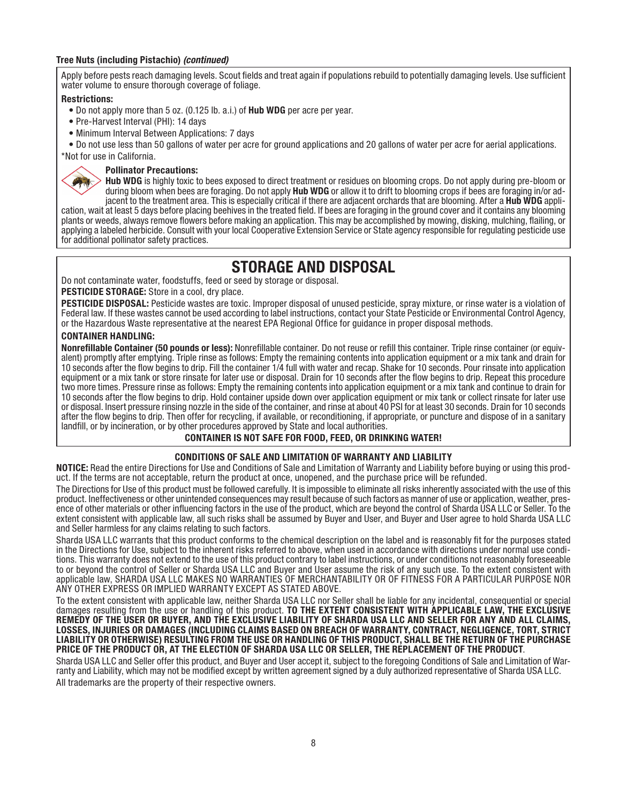#### Tree Nuts (including Pistachio) *(continued)*

Apply before pests reach damaging levels. Scout fields and treat again if populations rebuild to potentially damaging levels. Use sufficient water volume to ensure thorough coverage of foliage.

#### Restrictions:

呼

- Do not apply more than 5 oz. (0.125 lb. a.i.) of Hub WDG per acre per year.
- Pre-Harvest Interval (PHI): 14 days
- Minimum Interval Between Applications: 7 days

• Do not use less than 50 gallons of water per acre for ground applications and 20 gallons of water per acre for aerial applications.

\*Not for use in California.

#### Pollinator Precautions:

Hub WDG is highly toxic to bees exposed to direct treatment or residues on blooming crops. Do not apply during pre-bloom or during bloom when bees are foraging. Do not apply Hub WDG or allow it to drift to blooming crops if bees are foraging in/or adiacent to the treatment area. This is especially critical if there are adiacent orchards that are blooming. After a Hub WDG appli-

cation, wait at least 5 days before placing beehives in the treated field. If bees are foraging in the ground cover and it contains any blooming plants or weeds, always remove flowers before making an application. This may be accomplished by mowing, disking, mulching, flailing, or applying a labeled herbicide. Consult with your local Cooperative Extension Service or State agency responsible for regulating pesticide use for additional pollinator safety practices.

## STORAGE AND DISPOSAL

Do not contaminate water, foodstuffs, feed or seed by storage or disposal.

PESTICIDE STORAGE: Store in a cool, dry place.<br>PESTICIDE DISPOSAL: Pesticide wastes are toxic. Improper disposal of unused pesticide, spray mixture, or rinse water is a violation of Federal law. If these wastes cannot be used according to label instructions, contact your State Pesticide or Environmental Control Agency. or the Hazardous Waste representative at the nearest EPA Regional Office for guidance in proper disposal methods.

#### CONTAINER HANDLING:

Nonrefillable Container (50 pounds or less): Nonrefillable container. Do not reuse or refill this container. Triple rinse container (or equivalent) promptly after emptying. Triple rinse as follows: Empty the remaining contents into application equipment or a mix tank and drain for 10 seconds after the flow begins to drip. Fill the container 1/4 full with water and recap. Shake for 10 seconds. Pour rinsate into application equipment or a mix tank or store rinsate for later use or disposal. Drain for 10 seconds after the flow begins to drip. Repeat this procedure two more times. Pressure rinse as follows: Empty the remaining contents into application equipment or a mix tank and continue to drain for 10 seconds after the flow begins to drip. Hold container upside down over application equipment or mix tank or collect rinsate for later use<br>or disposal. Insert pressure rinsing nozzle in the side of the container, and rin after the flow begins to drip. Then offer for recycling, if available, or reconditioning, if appropriate, or puncture and dispose of in a sanitary landfill, or by incineration, or by other procedures approved by State and local authorities.

#### CONTAINER IS NOT SAFE FOR FOOD, FEED, OR DRINKING WATER!

#### CONDITIONS OF SALE AND LIMITATION OF WARRANTY AND LIABILITY

NOTICE: Read the entire Directions for Use and Conditions of Sale and Limitation of Warranty and Liability before buying or using this product. If the terms are not acceptable, return the product at once, unopened, and the purchase price will be refunded.

The Directions for Use of this product must be followed carefully. It is impossible to eliminate all risks inherently associated with the use of this<br>product. Ineffectiveness or other unintended consequences may result bec ence of other materials or other influencing factors in the use of the product, which are beyond the control of Sharda USA LLC or Seller. To the<br>extent consistent with applicable law, all such risks shall be assumed by Buy and Seller harmless for any claims relating to such factors.

Sharda USA LLC warrants that this product conforms to the chemical description on the label and is reasonably fit for the purposes stated<br>in the Directions for Use, subject to the inherent risks referred to above, when use tions. This warranty does not extend to the use of this product contrary to label instructions, or under conditions not reasonably foreseeable<br>to or beyond the control of Seller or Sharda USA LLC and Buyer and User assume applicable law, SHARDA USA LLC MAKES NO WARRANTIES OF MERCHANTABILITY OR OF FITNESS FOR A PARTICULAR PURPOSE NOR ANY OTHER EXPRESS OR IMPLIED WARRANTY EXCEPT AS STATED ABOVE.

To the extent consistent with applicable law, neither Sharda USA LLC nor Seller shall be liable for any incidental, consequential or special damages resulting from the use or handling of this product. TO THE EXTENT CONSISTENT WITH APPLICABLE LAW, THE EXCLUSIVE REMEDY OF THE USER OR BUYER, AND THE EXCLUSIVE LIABILITY OF SHARDA USA LLC AND SELLER FOR ANY AND ALL CLAIMS, LOSSES, INJURIES OR DAMAGES (INCLUDING CLAIMS BASED ON BREACH OF WARRANTY, CONTRACT, NEGLIGENCE, TORT, STRICT LIABILITY OR OTHERWISE) RESULTING FROM THE USE OR HANDLING OF THIS PRODUCT, SHALL BE THE RETURN OF THE PURCHASE PRICE OF THE PRODUCT OR, AT THE ELECTION OF SHARDA USA LLC OR SELLER, THE REPLACEMENT OF THE PRODUCT.<br>Sharda USA LLC and Seller offer this product, and Buver and User accept it, subject to the foregoing Conditions of Sale

ranty and Liability, which may not be modified except by written agreement signed by a duly authorized representative of Sharda USA LLC. All trademarks are the property of their respective owners.